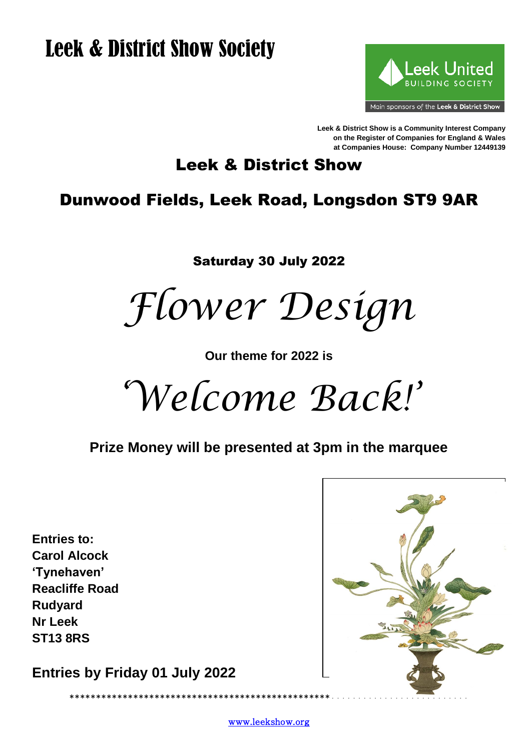# **Leek & District Show Society**



Leek & District Show is a Community Interest Company on the Register of Companies for England & Wales at Companies House: Company Number 12449139

# **Leek & District Show**

# **Dunwood Fields, Leek Road, Longsdon ST9 9AR**

**Saturday 30 July 2022** 

Flower Design

Our theme for 2022 is

Welcome Back!'

Prize Money will be presented at 3pm in the marquee

**Entries to: Carol Alcock** 'Tvnehaven' **Reacliffe Road Rudyard Nr Leek ST13 8RS** 

Entries by Friday 01 July 2022

\*\*\*\*\*\*\*\*\*\*\*\*\*\*\*\*\*\*\*\*\*\*\*\*\*\*\*\*\*\*\*



www.leekshow.org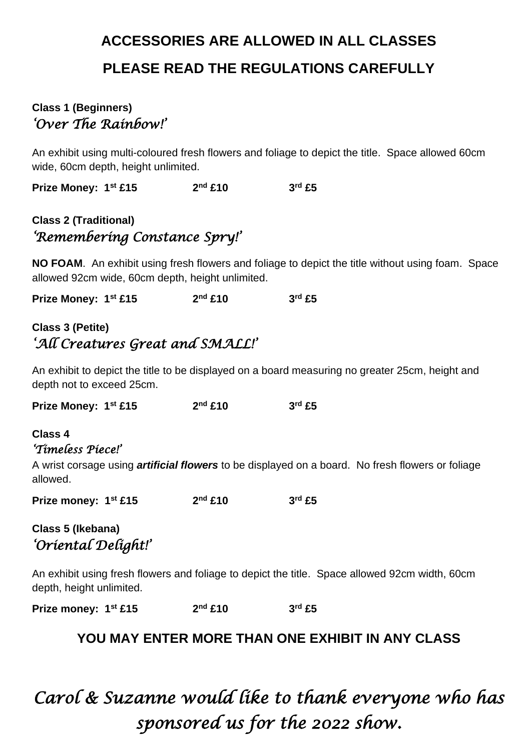# **ACCESSORIES ARE ALLOWED IN ALL CLASSES PLEASE READ THE REGULATIONS CAREFULLY**

#### **Class 1 (Beginners)** *'Over The Rainbow!'*

An exhibit using multi-coloured fresh flowers and foliage to depict the title. Space allowed 60cm wide, 60cm depth, height unlimited.

**Prize Money: 1st £15 2 nd £10 3 rd £5**

### **Class 2 (Traditional)** *'Remembering Constance Spry!'*

**NO FOAM**. An exhibit using fresh flowers and foliage to depict the title without using foam. Space allowed 92cm wide, 60cm depth, height unlimited.

**Prize Money: 1st £15 2 nd £10 3 rd £5**

### **Class 3 (Petite)** *'All Creatures Great and SMALL!'*

An exhibit to depict the title to be displayed on a board measuring no greater 25cm, height and depth not to exceed 25cm.

**Prize Money: 1st £15 2 nd £10 3 rd £5**

#### **Class 4** *'Timeless Piece!'*

A wrist corsage using *artificial flowers* to be displayed on a board. No fresh flowers or foliage allowed.

**Prize money: 1st £15 2 nd £10 3 rd £5**

### **Class 5 (Ikebana)** *'Oriental Delight!'*

An exhibit using fresh flowers and foliage to depict the title. Space allowed 92cm width, 60cm depth, height unlimited.

**Prize money: 1st £15 2 nd £10 3 rd £5**

#### **YOU MAY ENTER MORE THAN ONE EXHIBIT IN ANY CLASS**

# *Carol & Suzanne would like to thank everyone who has sponsored us for the 2022 show.*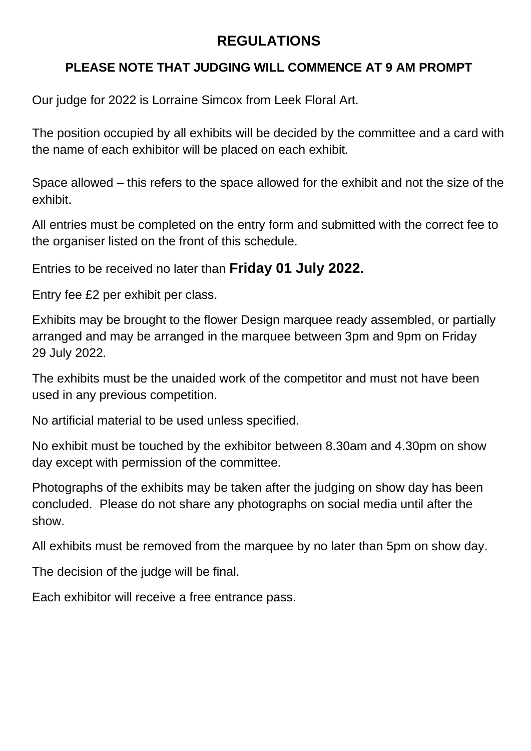## **REGULATIONS**

### **PLEASE NOTE THAT JUDGING WILL COMMENCE AT 9 AM PROMPT**

Our judge for 2022 is Lorraine Simcox from Leek Floral Art.

The position occupied by all exhibits will be decided by the committee and a card with the name of each exhibitor will be placed on each exhibit.

Space allowed – this refers to the space allowed for the exhibit and not the size of the exhibit.

All entries must be completed on the entry form and submitted with the correct fee to the organiser listed on the front of this schedule.

Entries to be received no later than **Friday 01 July 2022.**

Entry fee £2 per exhibit per class.

Exhibits may be brought to the flower Design marquee ready assembled, or partially arranged and may be arranged in the marquee between 3pm and 9pm on Friday 29 July 2022.

The exhibits must be the unaided work of the competitor and must not have been used in any previous competition.

No artificial material to be used unless specified.

No exhibit must be touched by the exhibitor between 8.30am and 4.30pm on show day except with permission of the committee.

Photographs of the exhibits may be taken after the judging on show day has been concluded. Please do not share any photographs on social media until after the show.

All exhibits must be removed from the marquee by no later than 5pm on show day.

The decision of the judge will be final.

Each exhibitor will receive a free entrance pass.